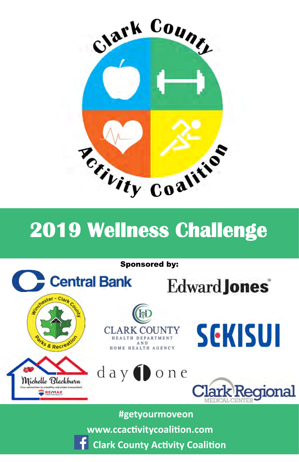

# **2019 Wellness Challenge**



**f** Clark County Activity Coalition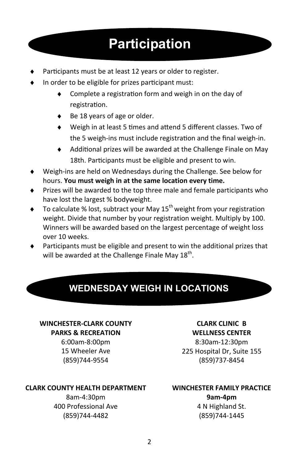# **Participation**

- Participants must be at least 12 years or older to register.
- In order to be eligible for prizes participant must:
	- Complete a registration form and weigh in on the day of registration.
	- ◆ Be 18 years of age or older.
	- ◆ Weigh in at least 5 times and attend 5 different classes. Two of the 5 weigh-ins must include registration and the final weigh-in.
	- $\triangleleft$  Additional prizes will be awarded at the Challenge Finale on May 18th. Participants must be eligible and present to win.
- ♦ Weigh-ins are held on Wednesdays during the Challenge. See below for hours. **You must weigh in at the same location every time.**
- ♦ Prizes will be awarded to the top three male and female participants who have lost the largest % bodyweight.
- $\bullet$  To calculate % lost, subtract your May 15<sup>th</sup> weight from your registration weight. Divide that number by your registration weight. Multiply by 100. Winners will be awarded based on the largest percentage of weight loss over 10 weeks.
- Participants must be eligible and present to win the additional prizes that will be awarded at the Challenge Finale May  $18<sup>th</sup>$ .

## **WEDNESDAY WEIGH IN LOCATIONS**

#### **WINCHESTER-CLARK COUNTY PARKS & RECREATION**

6:00am-8:00pm 15 Wheeler Ave (859)744-9554

#### **CLARK COUNTY HEALTH DEPARTMENT**

8am-4:30pm 400 Professional Ave (859)744-4482

#### **CLARK CLINIC B WELLNESS CENTER**

8:30am-12:30pm 225 Hospital Dr, Suite 155 (859)737-8454

#### **WINCHESTER FAMILY PRACTICE**

**9am-4pm**  4 N Highland St. (859)744-1445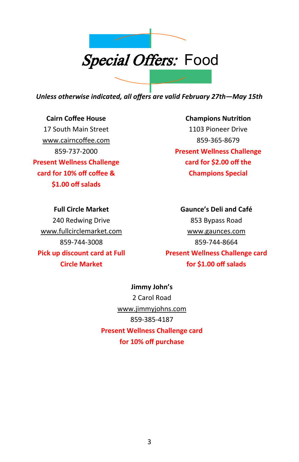

*Unless otherwise indicated, all offers are valid February 27th—May 15th* 

**Cairn Coffee House**  17 South Main Street www.cairncoffee.com 859-737-2000 **Present Wellness Challenge card for 10% off coffee & \$1.00 off salads** 

**Champions NutriƟon**  1103 Pioneer Drive 859-365-8679 **Present Wellness Challenge card for \$2.00 off the Champions Special** 

**Full Circle Market**  240 Redwing Drive www.fullcirclemarket.com 859-744-3008 **Pick up discount card at Full Circle Market** 

**Gaunce's Deli and Café**  853 Bypass Road www.gaunces.com 859-744-8664 **Present Wellness Challenge card for \$1.00 off salads** 

**Jimmy John's**  2 Carol Road www.jimmyjohns.com 859-385-4187 **Present Wellness Challenge card for 10% off purchase**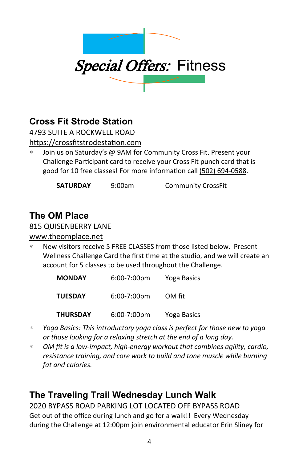

## **Cross Fit Strode Station**

4793 SUITE A ROCKWELL ROAD https://crossfitstrodestation.com

∗ Join us on Saturday's @ 9AM for Community Cross Fit. Present your Challenge Participant card to receive your Cross Fit punch card that is good for 10 free classes! For more information call (502) 694-0588.

**SATURDAY** 9:00am Community CrossFit

## **The OM Place**

#### 815 QUISENBERRY LANE

#### www.theomplace.net

New visitors receive 5 FREE CLASSES from those listed below. Present Wellness Challenge Card the first time at the studio, and we will create an account for 5 classes to be used throughout the Challenge.

| <b>MONDAY</b> | $6:00-7:00$ pm | Yoga Basics |
|---------------|----------------|-------------|
| TUESDAY       | $6:00-7:00$ pm | OM fit      |
| THURSDAY      | $6:00-7:00$ pm | Yoga Basics |

- ∗ *Yoga Basics: This introductory yoga class is perfect for those new to yoga or those looking for a relaxing stretch at the end of a long day.*
- ∗ *OM fit is a low-impact, high-energy workout that combines agility, cardio, resistance training, and core work to build and tone muscle while burning fat and calories.*

## **The Traveling Trail Wednesday Lunch Walk**

2020 BYPASS ROAD PARKING LOT LOCATED OFF BYPASS ROAD Get out of the office during lunch and go for a walk!! Every Wednesday during the Challenge at 12:00pm join environmental educator Erin Sliney for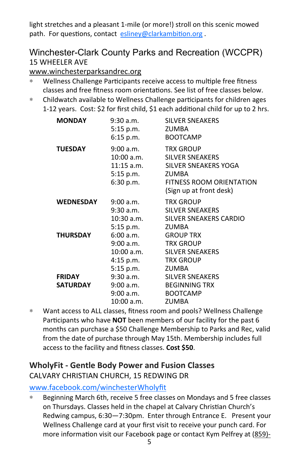light stretches and a pleasant 1-mile (or more!) stroll on this scenic mowed path. For questions, contact esliney@clarkambition.org.

#### Winchester-Clark County Parks and Recreation (WCCPR) 15 WHEELER AVE

www.winchesterparksandrec.org

- ∗ Wellness Challenge ParƟcipants receive access to mulƟple free fitness classes and free fitness room orientations. See list of free classes below.
- ∗ Childwatch available to Wellness Challenge parƟcipants for children ages 1-12 years. Cost: \$2 for first child, \$1 each additional child for up to 2 hrs.

| <b>MONDAY</b>                    | $9:30$ a.m.<br>5:15 p.m.<br>6:15 p.m.                                | <b>SILVER SNEAKERS</b><br>ZUMBA<br><b>BOOTCAMP</b>                                                                                                          |
|----------------------------------|----------------------------------------------------------------------|-------------------------------------------------------------------------------------------------------------------------------------------------------------|
| <b>TUESDAY</b>                   | 9:00 a.m.<br>10:00 a.m.<br>5:15 p.m.<br>6:30 p.m.                    | <b>TRX GROUP</b><br><b>SILVER SNEAKERS</b><br>11:15 a.m. SILVER SNEAKERS YOGA<br><b>ZUMBA</b><br><b>FITNESS ROOM ORIENTATION</b><br>(Sign up at front desk) |
| <b>WEDNESDAY</b>                 | 9:00 a.m.<br>9:30 a.m.<br>10:30 a.m.<br>5:15 p.m.                    | <b>TRX GROUP</b><br><b>SILVER SNEAKERS</b><br>SILVER SNEAKERS CARDIO<br><b>ZUMBA</b>                                                                        |
| <b>THURSDAY</b>                  | 6:00 a.m. GROUP TRX<br>9:00 a.m. TRX GROUP<br>4:15 p.m.<br>5:15 p.m. | 10:00 a.m. SILVER SNEAKERS<br>TRX GROUP<br>ZUMBA                                                                                                            |
| <b>FRIDAY</b><br><b>SATURDAY</b> | 9:00 a.m. BEGINNING TRX<br>9:00 a.m. BOOTCAMP<br>10:00 a.m.          | 9:30 a.m. SILVER SNEAKERS<br><b>ZUMBA</b>                                                                                                                   |

∗ Want access to ALL classes, fitness room and pools? Wellness Challenge Participants who have **NOT** been members of our facility for the past 6 months can purchase a \$50 Challenge Membership to Parks and Rec, valid from the date of purchase through May 15th. Membership includes full access to the facility and fitness classes. **Cost \$50**.

#### **WholyFit - Gentle Body Power and Fusion Classes** CALVARY CHRISTIAN CHURCH, 15 REDWING DR

www.facebook.com/winchesterWholyfit

∗ Beginning March 6th, receive 5 free classes on Mondays and 5 free classes on Thursdays. Classes held in the chapel at Calvary Christian Church's Redwing campus, 6:30—7:30pm. Enter through Entrance E. Present your Wellness Challenge card at your first visit to receive your punch card. For more information visit our Facebook page or contact Kym Pelfrey at (859)-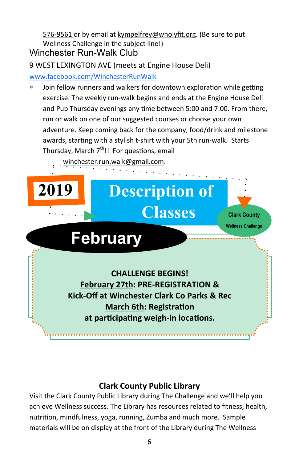576-9561 or by email at kympelfrey@wholyfit.org. (Be sure to put Wellness Challenge in the subject line!)

#### Winchester Run-Walk Club

9 WEST LEXINGTON AVE (meets at Engine House Deli) www.facebook.com/WinchesterRunWalk

Join fellow runners and walkers for downtown exploration while getting exercise. The weekly run-walk begins and ends at the Engine House Deli and Pub Thursday evenings any time between 5:00 and 7:00. From there, run or walk on one of our suggested courses or choose your own adventure. Keep coming back for the company, food/drink and milestone awards, starting with a stylish t-shirt with your 5th run-walk. Starts Thursday, March  $7^{\text{th}}$ !! For questions, email

#### winchester.run.walk@gmail.com.



#### **Clark County Public Library**

Visit the Clark County Public Library during The Challenge and we'll help you achieve Wellness success. The Library has resources related to fitness, health, nutrition, mindfulness, yoga, running, Zumba and much more. Sample materials will be on display at the front of the Library during The Wellness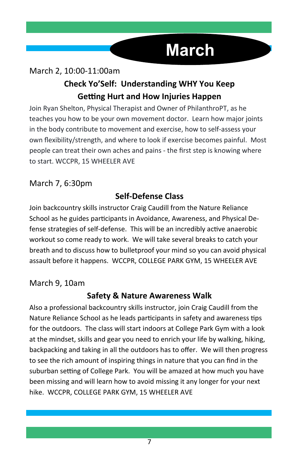# **March**

## March 2, 10:00-11:00am **Check Yo'Self: Understanding WHY You Keep Getting Hurt and How Injuries Happen**

Join Ryan Shelton, Physical Therapist and Owner of PhilanthroPT, as he teaches you how to be your own movement doctor. Learn how major joints in the body contribute to movement and exercise, how to self-assess your own flexibility/strength, and where to look if exercise becomes painful. Most people can treat their own aches and pains - the first step is knowing where to start. WCCPR, 15 WHEELER AVE

#### March 7, 6:30pm

#### **Self-Defense Class**

Join backcountry skills instructor Craig Caudill from the Nature Reliance School as he guides participants in Avoidance, Awareness, and Physical Defense strategies of self-defense. This will be an incredibly active anaerobic workout so come ready to work. We will take several breaks to catch your breath and to discuss how to bulletproof your mind so you can avoid physical assault before it happens. WCCPR, COLLEGE PARK GYM, 15 WHEELER AVE

#### March 9, 10am

#### **Safety & Nature Awareness Walk**

Also a professional backcountry skills instructor, join Craig Caudill from the Nature Reliance School as he leads participants in safety and awareness tips for the outdoors. The class will start indoors at College Park Gym with a look at the mindset, skills and gear you need to enrich your life by walking, hiking, backpacking and taking in all the outdoors has to offer. We will then progress to see the rich amount of inspiring things in nature that you can find in the suburban setting of College Park. You will be amazed at how much you have been missing and will learn how to avoid missing it any longer for your next hike. WCCPR, COLLEGE PARK GYM, 15 WHEELER AVE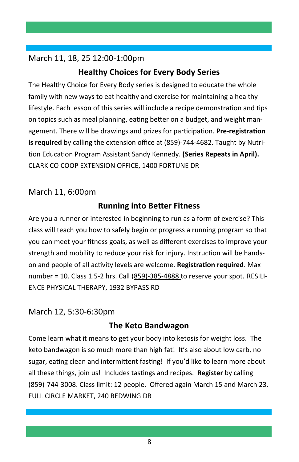#### March 11, 18, 25 12:00-1:00pm

#### **Healthy Choices for Every Body Series**

The Healthy Choice for Every Body series is designed to educate the whole family with new ways to eat healthy and exercise for maintaining a healthy lifestyle. Each lesson of this series will include a recipe demonstration and tips on topics such as meal planning, eating better on a budget, and weight management. There will be drawings and prizes for participation. Pre-registration **is required** by calling the extension office at (859)-744-4682. Taught by Nutrition Education Program Assistant Sandy Kennedy. **(Series Repeats in April).** CLARK CO COOP EXTENSION OFFICE, 1400 FORTUNE DR

#### March 11, 6:00pm

#### **Running into BeƩer Fitness**

Are you a runner or interested in beginning to run as a form of exercise? This class will teach you how to safely begin or progress a running program so that you can meet your fitness goals, as well as different exercises to improve your strength and mobility to reduce your risk for injury. Instruction will be handson and people of all activity levels are welcome. **Registration required**. Max number = 10. Class 1.5-2 hrs. Call (859)-385-4888 to reserve your spot. RESILI-ENCE PHYSICAL THERAPY, 1932 BYPASS RD

#### March 12, 5:30-6:30pm

#### **The Keto Bandwagon**

Come learn what it means to get your body into ketosis for weight loss. The keto bandwagon is so much more than high fat! It's also about low carb, no sugar, eating clean and intermittent fasting! If you'd like to learn more about all these things, join us! Includes tastings and recipes. **Register** by calling (859)-744-3008. Class limit: 12 people. Offered again March 15 and March 23. FULL CIRCLE MARKET, 240 REDWING DR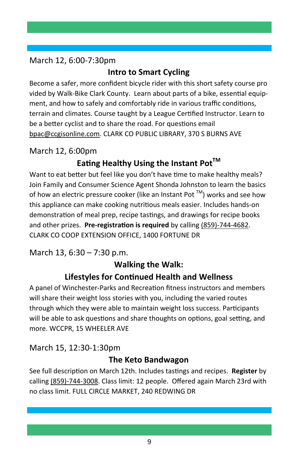#### March 12, 6:00-7:30pm

#### **Intro to Smart Cycling**

Become a safer, more confident bicycle rider with this short safety course pro vided by Walk-Bike Clark County. Learn about parts of a bike, essential equipment, and how to safely and comfortably ride in various traffic conditions, terrain and climates. Course taught by a League Certified Instructor. Learn to be a better cyclist and to share the road. For questions email bpac@ccgisonline.com. CLARK CO PUBLIC LIBRARY, 370 S BURNS AVE

#### March 12, 6:00pm

### **Eating Healthy Using the Instant Pot<sup>™</sup>**

Want to eat better but feel like you don't have time to make healthy meals? Join Family and Consumer Science Agent Shonda Johnston to learn the basics of how an electric pressure cooker (like an Instant Pot  $TM$ ) works and see how this appliance can make cooking nutritious meals easier. Includes hands-on demonstration of meal prep, recipe tastings, and drawings for recipe books and other prizes. Pre-registration is required by calling (859)-744-4682. CLARK CO COOP EXTENSION OFFICE, 1400 FORTUNE DR

March 13, 6:30 – 7:30 p.m.

#### **Walking the Walk:**

#### **Lifestyles for ConƟnued Health and Wellness**

A panel of Winchester-Parks and Recreation fitness instructors and members will share their weight loss stories with you, including the varied routes through which they were able to maintain weight loss success. Participants will be able to ask questions and share thoughts on options, goal setting, and more. WCCPR, 15 WHEELER AVE

#### March 15, 12:30-1:30pm

#### **The Keto Bandwagon**

See full description on March 12th. Includes tastings and recipes. **Register** by calling (859)-744-3008. Class limit: 12 people. Offered again March 23rd with no class limit. FULL CIRCLE MARKET, 240 REDWING DR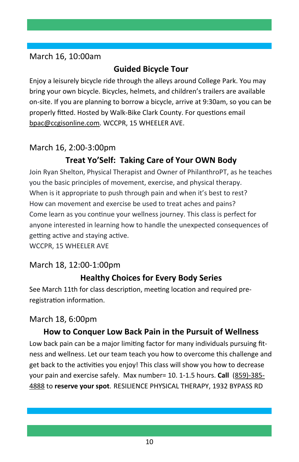#### March 16, 10:00am

#### **Guided Bicycle Tour**

Enjoy a leisurely bicycle ride through the alleys around College Park. You may bring your own bicycle. Bicycles, helmets, and children's trailers are available on-site. If you are planning to borrow a bicycle, arrive at 9:30am, so you can be properly fitted. Hosted by Walk-Bike Clark County. For questions email bpac@ccgisonline.com. WCCPR, 15 WHEELER AVE.

#### March 16, 2:00-3:00pm

### **Treat Yo'Self: Taking Care of Your OWN Body**

Join Ryan Shelton, Physical Therapist and Owner of PhilanthroPT, as he teaches you the basic principles of movement, exercise, and physical therapy. When is it appropriate to push through pain and when it's best to rest? How can movement and exercise be used to treat aches and pains? Come learn as you continue your wellness journey. This class is perfect for anyone interested in learning how to handle the unexpected consequences of getting active and staying active.

WCCPR, 15 WHEELER AVE

#### March 18, 12:00-1:00pm

### **Healthy Choices for Every Body Series**

See March 11th for class description, meeting location and required preregistration information.

#### March 18, 6:00pm

#### **How to Conquer Low Back Pain in the Pursuit of Wellness**

Low back pain can be a major limiting factor for many individuals pursuing fitness and wellness. Let our team teach you how to overcome this challenge and get back to the activities you enjoy! This class will show you how to decrease your pain and exercise safely. Max number= 10. 1-1.5 hours. **Call** (859)-385- 4888 to **reserve your spot**. RESILIENCE PHYSICAL THERAPY, 1932 BYPASS RD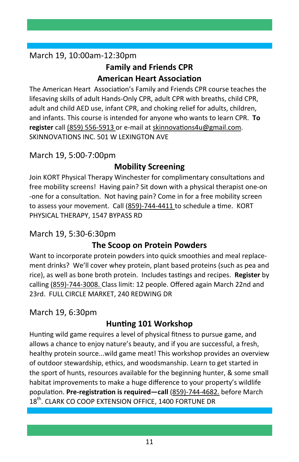#### March 19, 10:00am-12:30pm

#### **Family and Friends CPR American Heart Association**

The American Heart Association's Family and Friends CPR course teaches the lifesaving skills of adult Hands-Only CPR, adult CPR with breaths, child CPR, adult and child AED use, infant CPR, and choking relief for adults, children, and infants. This course is intended for anyone who wants to learn CPR. **To register** call (859) 556-5913 or e-mail at skinnovations4u@gmail.com. SKINNOVATIONS INC. 501 W LEXINGTON AVE

#### March 19, 5:00-7:00pm

#### **Mobility Screening**

Join KORT Physical Therapy Winchester for complimentary consultations and free mobility screens! Having pain? Sit down with a physical therapist one-on -one for a consultation. Not having pain? Come in for a free mobility screen to assess your movement. Call (859)-744-4411 to schedule a time. KORT PHYSICAL THERAPY, 1547 BYPASS RD

#### March 19, 5:30-6:30pm

#### **The Scoop on Protein Powders**

Want to incorporate protein powders into quick smoothies and meal replacement drinks? We'll cover whey protein, plant based proteins (such as pea and rice), as well as bone broth protein. Includes tasƟngs and recipes. **Register** by calling (859)-744-3008. Class limit: 12 people. Offered again March 22nd and 23rd. FULL CIRCLE MARKET, 240 REDWING DR

#### March 19, 6:30pm

#### **Hunting 101 Workshop**

Hunting wild game requires a level of physical fitness to pursue game, and allows a chance to enjoy nature's beauty, and if you are successful, a fresh, healthy protein source...wild game meat! This workshop provides an overview of outdoor stewardship, ethics, and woodsmanship. Learn to get started in the sport of hunts, resources available for the beginning hunter, & some small habitat improvements to make a huge difference to your property's wildlife population. Pre-registration is required-call (859)-744-4682. before March 18<sup>th</sup>. CLARK CO COOP EXTENSION OFFICE, 1400 FORTUNE DR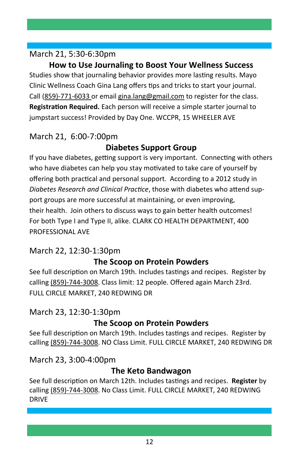#### March 21, 5:30-6:30pm

**How to Use Journaling to Boost Your Wellness Success**  Studies show that journaling behavior provides more lasting results. Mayo Clinic Wellness Coach Gina Lang offers tips and tricks to start your journal. Call (859)-771-6033 or email gina.lang@gmail.com to register for the class. **Registration Required.** Each person will receive a simple starter journal to jumpstart success! Provided by Day One. WCCPR, 15 WHEELER AVE

#### March 21, 6:00-7:00pm

#### **Diabetes Support Group**

If you have diabetes, getting support is very important. Connecting with others who have diabetes can help you stay motivated to take care of yourself by offering both practical and personal support. According to a 2012 study in Diabetes Research and Clinical Practice, those with diabetes who attend support groups are more successful at maintaining, or even improving, their health. Join others to discuss ways to gain better health outcomes! For both Type I and Type II, alike. CLARK CO HEALTH DEPARTMENT, 400 PROFESSIONAL AVE

### March 22, 12:30-1:30pm

#### **The Scoop on Protein Powders**

See full description on March 19th. Includes tastings and recipes. Register by calling (859)-744-3008. Class limit: 12 people. Offered again March 23rd. FULL CIRCLE MARKET, 240 REDWING DR

#### March 23, 12:30-1:30pm

#### **The Scoop on Protein Powders**

See full description on March 19th. Includes tastings and recipes. Register by calling (859)-744-3008. NO Class Limit. FULL CIRCLE MARKET, 240 REDWING DR

#### March 23, 3:00-4:00pm

#### **The Keto Bandwagon**

See full description on March 12th. Includes tastings and recipes. **Register** by calling (859)-744-3008. No Class Limit. FULL CIRCLE MARKET, 240 REDWING DRIVE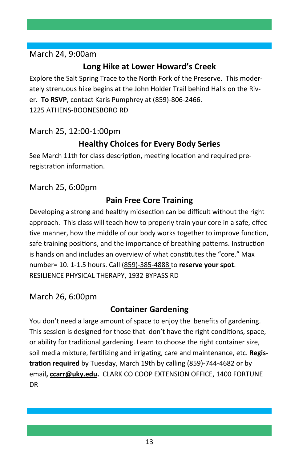#### March 24, 9:00am

#### **Long Hike at Lower Howard's Creek**

Explore the Salt Spring Trace to the North Fork of the Preserve. This moderately strenuous hike begins at the John Holder Trail behind Halls on the River. **To RSVP**, contact Karis Pumphrey at (859)-806-2466. 1225 ATHENS-BOONESBORO RD

#### March 25, 12:00-1:00pm

#### **Healthy Choices for Every Body Series**

See March 11th for class description, meeting location and required preregistration information.

March 25, 6:00pm

#### **Pain Free Core Training**

Developing a strong and healthy midsection can be difficult without the right approach. This class will teach how to properly train your core in a safe, effective manner, how the middle of our body works together to improve function, safe training positions, and the importance of breathing patterns. Instruction is hands on and includes an overview of what constitutes the "core." Max number= 10. 1-1.5 hours. Call (859)-385-4888 to **reserve your spot**. RESILIENCE PHYSICAL THERAPY, 1932 BYPASS RD

#### March 26, 6:00pm

#### **Container Gardening**

You don't need a large amount of space to enjoy the benefits of gardening. This session is designed for those that don't have the right conditions, space, or ability for traditional gardening. Learn to choose the right container size, soil media mixture, fertilizing and irrigating, care and maintenance, etc. Registration required by Tuesday, March 19th by calling (859)-744-4682 or by email**, ccarr@uky.edu.** CLARK CO COOP EXTENSION OFFICE, 1400 FORTUNE DR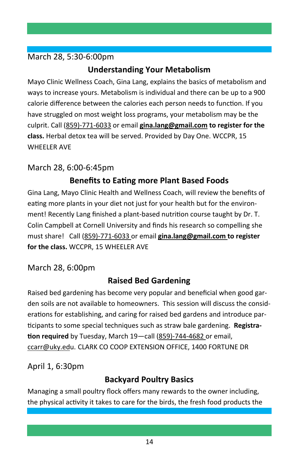#### March 28, 5:30-6:00pm

#### **Understanding Your Metabolism**

Mayo Clinic Wellness Coach, Gina Lang, explains the basics of metabolism and ways to increase yours. Metabolism is individual and there can be up to a 900 calorie difference between the calories each person needs to function. If you have struggled on most weight loss programs, your metabolism may be the culprit. Call (859)-771-6033 or email **gina.lang@gmail.com to register for the class.** Herbal detox tea will be served. Provided by Day One. WCCPR, 15 WHEFLER AVE

#### March 28, 6:00-6:45pm

### **Benefits to EaƟng more Plant Based Foods**

Gina Lang, Mayo Clinic Health and Wellness Coach, will review the benefits of eating more plants in your diet not just for your health but for the environment! Recently Lang finished a plant-based nutrition course taught by Dr. T. Colin Campbell at Cornell University and finds his research so compelling she must share! Call (859)-771-6033 or email **gina.lang@gmail.com to register for the class.** WCCPR, 15 WHEELER AVE

#### March 28, 6:00pm

## **Raised Bed Gardening**

Raised bed gardening has become very popular and beneficial when good garden soils are not available to homeowners. This session will discuss the considerations for establishing, and caring for raised bed gardens and introduce par-Ɵcipants to some special techniques such as straw bale gardening. **Registra-Ɵon required** by Tuesday, March 19—call (859)-744-4682 or email, ccarr@uky.edu. CLARK CO COOP EXTENSION OFFICE, 1400 FORTUNE DR

April 1, 6:30pm

### **Backyard Poultry Basics**

Managing a small poultry flock offers many rewards to the owner including, the physical activity it takes to care for the birds, the fresh food products the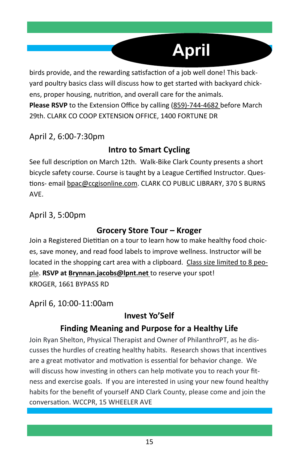# **April**

birds provide, and the rewarding satisfaction of a job well done! This backyard poultry basics class will discuss how to get started with backyard chickens, proper housing, nutrition, and overall care for the animals. **Please RSVP** to the Extension Office by calling (859)-744-4682 before March 29th. CLARK CO COOP EXTENSION OFFICE, 1400 FORTUNE DR

#### April 2, 6:00-7:30pm

#### **Intro to Smart Cycling**

See full description on March 12th. Walk-Bike Clark County presents a short bicycle safety course. Course is taught by a League Certified Instructor. Questions- email bpac@ccgisonline.com. CLARK CO PUBLIC LIBRARY, 370 S BURNS AVE.

April 3, 5:00pm

#### **Grocery Store Tour – Kroger**

Join a Registered Dietitian on a tour to learn how to make healthy food choices, save money, and read food labels to improve wellness. Instructor will be located in the shopping cart area with a clipboard. Class size limited to 8 people. **RSVP at Brynnan.jacobs@lpnt.net** to reserve your spot! KROGER, 1661 BYPASS RD

April 6, 10:00-11:00am

#### **Invest Yo'Self**

#### **Finding Meaning and Purpose for a Healthy Life**

Join Ryan Shelton, Physical Therapist and Owner of PhilanthroPT, as he discusses the hurdles of creating healthy habits. Research shows that incentives are a great motivator and motivation is essential for behavior change. We will discuss how investing in others can help motivate you to reach your fitness and exercise goals. If you are interested in using your new found healthy habits for the benefit of yourself AND Clark County, please come and join the conversation. WCCPR, 15 WHEELER AVE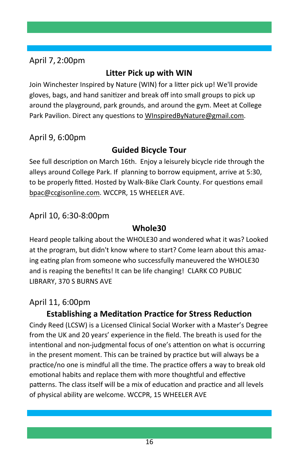#### April 7, 2:00pm

#### **Litter Pick up with WIN**

Join Winchester Inspired by Nature (WIN) for a litter pick up! We'll provide gloves, bags, and hand sanitizer and break off into small groups to pick up around the playground, park grounds, and around the gym. Meet at College Park Pavilion. Direct any questions to WInspiredByNature@gmail.com.

April 9, 6:00pm

#### **Guided Bicycle Tour**

See full description on March 16th. Enjoy a leisurely bicycle ride through the alleys around College Park. If planning to borrow equipment, arrive at 5:30, to be properly fitted. Hosted by Walk-Bike Clark County. For questions email bpac@ccgisonline.com. WCCPR, 15 WHEELER AVE.

#### April 10, 6:30-8:00pm

#### **Whole30**

Heard people talking about the WHOLE30 and wondered what it was? Looked at the program, but didn't know where to start? Come learn about this amazing eating plan from someone who successfully maneuvered the WHOLE30 and is reaping the benefits! It can be life changing! CLARK CO PUBLIC LIBRARY, 370 S BURNS AVE

#### April 11, 6:00pm

#### **Establishing a Meditation Practice for Stress Reduction**

Cindy Reed (LCSW) is a Licensed Clinical Social Worker with a Master's Degree from the UK and 20 years' experience in the field. The breath is used for the intentional and non-judgmental focus of one's attention on what is occurring in the present moment. This can be trained by practice but will always be a practice/no one is mindful all the time. The practice offers a way to break old emotional habits and replace them with more thoughtful and effective patterns. The class itself will be a mix of education and practice and all levels of physical ability are welcome. WCCPR, 15 WHEELER AVE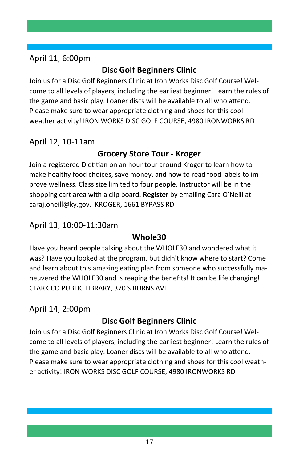#### April 11, 6:00pm

### **Disc Golf Beginners Clinic**

Join us for a Disc Golf Beginners Clinic at Iron Works Disc Golf Course! Welcome to all levels of players, including the earliest beginner! Learn the rules of the game and basic play. Loaner discs will be available to all who attend. Please make sure to wear appropriate clothing and shoes for this cool weather activity! IRON WORKS DISC GOLF COURSE, 4980 IRONWORKS RD

April 12, 10-11am

#### **Grocery Store Tour - Kroger**

Join a registered Dietitian on an hour tour around Kroger to learn how to make healthy food choices, save money, and how to read food labels to improve wellness. Class size limited to four people. Instructor will be in the shopping cart area with a clip board. **Register** by emailing Cara O'Neill at caraj.oneill@ky.gov. KROGER, 1661 BYPASS RD

#### April 13, 10:00-11:30am

#### **Whole30**

Have you heard people talking about the WHOLE30 and wondered what it was? Have you looked at the program, but didn't know where to start? Come and learn about this amazing eating plan from someone who successfully maneuvered the WHOLE30 and is reaping the benefits! It can be life changing! CLARK CO PUBLIC LIBRARY, 370 S BURNS AVE

April 14, 2:00pm

### **Disc Golf Beginners Clinic**

Join us for a Disc Golf Beginners Clinic at Iron Works Disc Golf Course! Welcome to all levels of players, including the earliest beginner! Learn the rules of the game and basic play. Loaner discs will be available to all who attend. Please make sure to wear appropriate clothing and shoes for this cool weather acƟvity! IRON WORKS DISC GOLF COURSE, 4980 IRONWORKS RD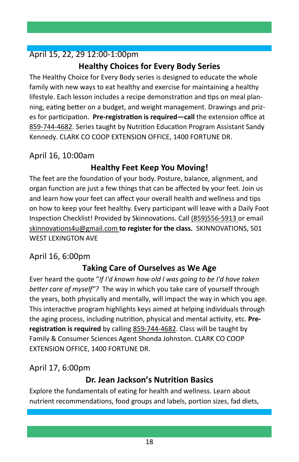### April 15, 22, 29 12:00-1:00pm

### **Healthy Choices for Every Body Series**

The Healthy Choice for Every Body series is designed to educate the whole family with new ways to eat healthy and exercise for maintaining a healthy lifestyle. Each lesson includes a recipe demonstration and tips on meal planning, eating better on a budget, and weight management. Drawings and prizes for participation. Pre-registration is required—call the extension office at 859-744-4682. Series taught by Nutrition Education Program Assistant Sandy Kennedy. CLARK CO COOP EXTENSION OFFICE, 1400 FORTUNE DR.

#### April 16, 10:00am

#### **Healthy Feet Keep You Moving!**

The feet are the foundation of your body. Posture, balance, alignment, and organ function are just a few things that can be affected by your feet. Join us and learn how your feet can affect your overall health and wellness and tips on how to keep your feet healthy. Every participant will leave with a Daily Foot Inspection Checklist! Provided by Skinnovations. Call (859)556-5913 or email skinnovations4u@gmail.com **to register for the class.** SKINNOVATIONS, 501 WEST LEXINGTON AVE

#### April 16, 6:00pm

#### **Taking Care of Ourselves as We Age**

Ever heard the quote "*If I'd known how old I was going to be I'd have taken better care of myself"?* The way in which you take care of yourself through the years, both physically and mentally, will impact the way in which you age. This interactive program highlights keys aimed at helping individuals through the aging process, including nutrition, physical and mental activity, etc. Pre**registraƟon is required** by calling 859-744-4682. Class will be taught by Family & Consumer Sciences Agent Shonda Johnston. CLARK CO COOP EXTENSION OFFICE, 1400 FORTUNE DR.

#### April 17, 6:00pm

#### **Dr. Jean Jackson's Nutrition Basics**

Explore the fundamentals of eating for health and wellness. Learn about nutrient recommendations, food groups and labels, portion sizes, fad diets,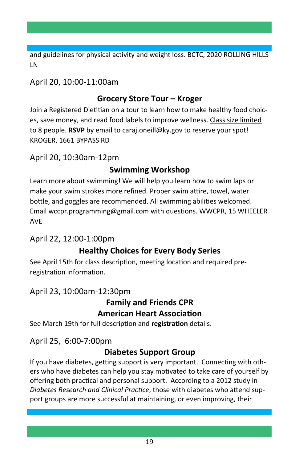and guidelines for physical activity and weight loss. BCTC, 2020 ROLLING HILLS LN

#### April 20, 10:00-11:00am

#### **Grocery Store Tour – Kroger**

Join a Registered Dietitian on a tour to learn how to make healthy food choices, save money, and read food labels to improve wellness. Class size limited to 8 people. **RSVP** by email to caraj.oneill@ky.gov to reserve your spot! KROGER, 1661 BYPASS RD

April 20, 10:30am-12pm

#### **Swimming Workshop**

Learn more about swimming! We will help you learn how to swim laps or make your swim strokes more refined. Proper swim attire, towel, water bottle, and goggles are recommended. All swimming abilities welcomed. Email wccpr.programming@gmail.com with questions. WWCPR, 15 WHEELER AVE

#### April 22, 12:00-1:00pm

#### **Healthy Choices for Every Body Series**

See April 15th for class description, meeting location and required preregistration information.

#### April 23, 10:00am-12:30pm

#### **Family and Friends CPR American Heart Association**

See March 19th for full description and **registration** details.

April 25, 6:00-7:00pm

#### **Diabetes Support Group**

If you have diabetes, getting support is very important. Connecting with others who have diabetes can help you stay motivated to take care of yourself by offering both practical and personal support. According to a 2012 study in *Diabetes Research and Clinical PracƟce*, those with diabetes who aƩend support groups are more successful at maintaining, or even improving, their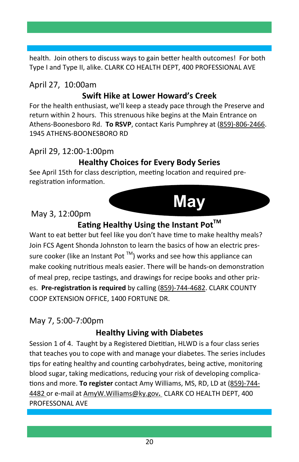health. Join others to discuss ways to gain better health outcomes! For both Type I and Type II, alike. CLARK CO HEALTH DEPT, 400 PROFESSIONAL AVE

# April 27, 10:00am

#### **Swift Hike at Lower Howard's Creek**

For the health enthusiast, we'll keep a steady pace through the Preserve and return within 2 hours. This strenuous hike begins at the Main Entrance on Athens-Boonesboro Rd. **To RSVP**, contact Karis Pumphrey at (859)-806-2466. 1945 ATHENS-BOONESBORO RD

#### April 29, 12:00-1:00pm

#### **Healthy Choices for Every Body Series**

See April 15th for class description, meeting location and required preregistration information.

#### May 3, 12:00pm



#### **Eating Healthy Using the Instant Pot™**

Want to eat better but feel like you don't have time to make healthy meals? Join FCS Agent Shonda Johnston to learn the basics of how an electric pressure cooker (like an Instant Pot ™) works and see how this appliance can make cooking nutritious meals easier. There will be hands-on demonstration of meal prep, recipe tastings, and drawings for recipe books and other prizes. **Pre-registraƟon is required** by calling (859)-744-4682. CLARK COUNTY COOP EXTENSION OFFICE, 1400 FORTUNE DR.

#### May 7, 5:00-7:00pm

#### **Healthy Living with Diabetes**

Session 1 of 4. Taught by a Registered Dietitian, HLWD is a four class series that teaches you to cope with and manage your diabetes. The series includes tips for eating healthy and counting carbohydrates, being active, monitoring blood sugar, taking medications, reducing your risk of developing complica-Ɵons and more. **To register** contact Amy Williams, MS, RD, LD at (859)-744- 4482 or e-mail at AmyW.Williams@ky.gov**.** CLARK CO HEALTH DEPT, 400 PROFESSONAL AVE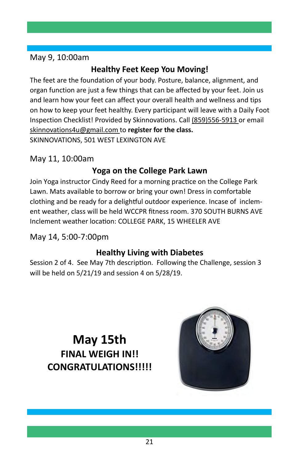#### May 9, 10:00am

## **Healthy Feet Keep You Moving!**

The feet are the foundation of your body. Posture, balance, alignment, and organ function are just a few things that can be affected by your feet. Join us and learn how your feet can affect your overall health and wellness and tips on how to keep your feet healthy. Every participant will leave with a Daily Foot Inspection Checklist! Provided by Skinnovations. Call (859)556-5913 or email skinnovations4u@gmail.com to **register for the class.**  SKINNOVATIONS, 501 WEST LEXINGTON AVE

#### May 11, 10:00am

#### **Yoga on the College Park Lawn**

Join Yoga instructor Cindy Reed for a morning practice on the College Park Lawn. Mats available to borrow or bring your own! Dress in comfortable clothing and be ready for a delightful outdoor experience. Incase of inclement weather, class will be held WCCPR fitness room. 370 SOUTH BURNS AVE Inclement weather location: COLLEGE PARK, 15 WHEELER AVE

#### May 14, 5:00-7:00pm

#### **Healthy Living with Diabetes**

Session 2 of 4. See May 7th description. Following the Challenge, session 3 will be held on 5/21/19 and session 4 on 5/28/19.

**May 15th FINAL WEIGH IN!! CONGRATULATIONS!!!!!** 

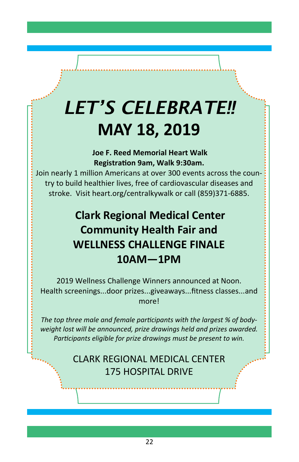# *LET'S CELEBRATE!!*  **MAY 18, 2019**

 **Joe F. Reed Memorial Heart Walk RegistraƟon 9am, Walk 9:30am.** 

Join nearly 1 million Americans at over 300 events across the country to build healthier lives, free of cardiovascular diseases and stroke. Visit heart.org/centralkywalk or call (859)371-6885.

# **Clark Regional Medical Center Community Health Fair and WELLNESS CHALLENGE FINALE 10AM—1PM**

2019 Wellness Challenge Winners announced at Noon. Health screenings...door prizes...giveaways...fitness classes...and more!

The top three male and female participants with the largest % of body*weight lost will be announced, prize drawings held and prizes awarded.*  Participants eligible for prize drawings must be present to win.

## CLARK REGIONAL MEDICAL CENTER 175 HOSPITAL DRIVE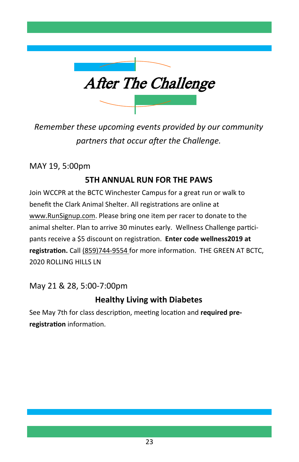

*Remember these upcoming events provided by our community partners that occur after the Challenge.* 

MAY 19, 5:00pm

#### **5TH ANNUAL RUN FOR THE PAWS**

Join WCCPR at the BCTC Winchester Campus for a great run or walk to benefit the Clark Animal Shelter. All registrations are online at www.RunSignup.com. Please bring one item per racer to donate to the animal shelter. Plan to arrive 30 minutes early. Wellness Challenge participants receive a \$5 discount on registration. **Enter code wellness2019 at** registration. Call (859)744-9554 for more information. THE GREEN AT BCTC, 2020 ROLLING HILLS LN

May 21 & 28, 5:00-7:00pm

#### **Healthy Living with Diabetes**

See May 7th for class description, meeting location and **required pre**registration information.